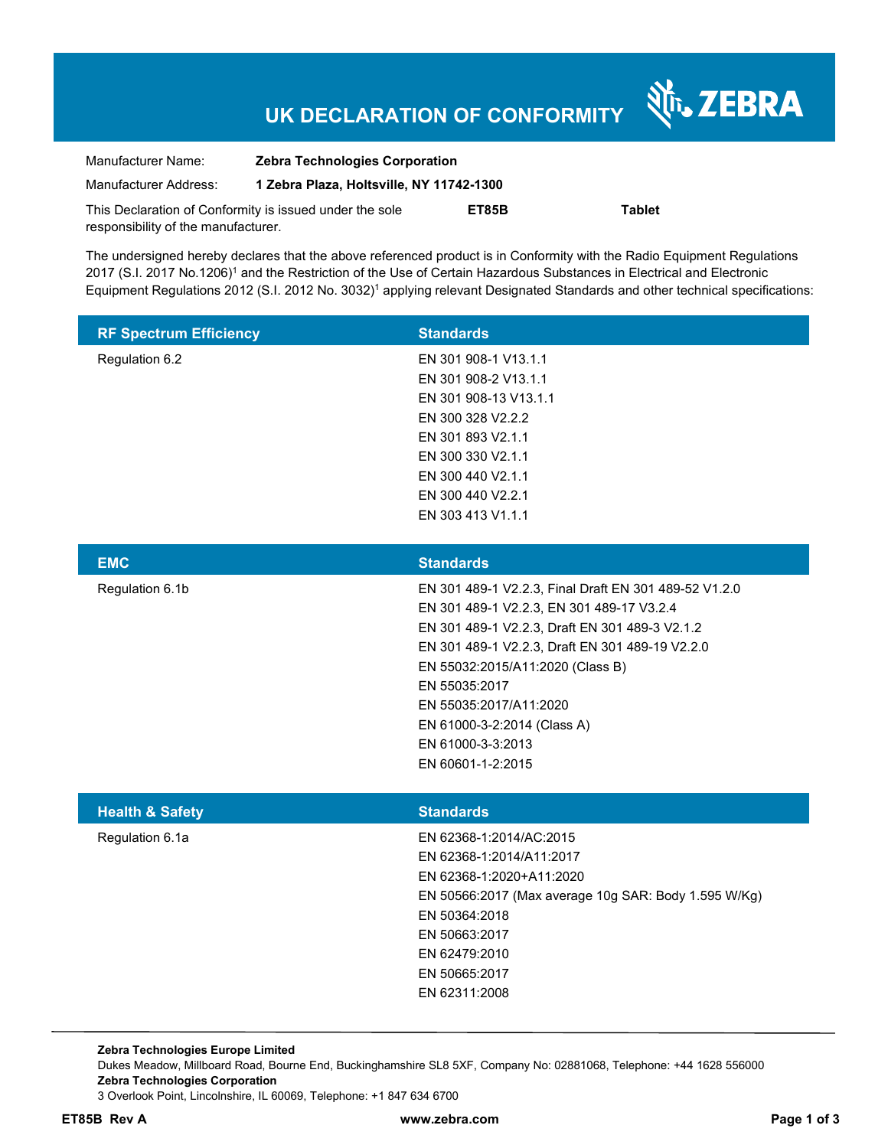# **UK DECLARATION OF CONFORMITY**

Nr. ZEBRA

| Manufacturer Name:                                      | <b>Zebra Technologies Corporation</b>    |       |               |
|---------------------------------------------------------|------------------------------------------|-------|---------------|
| Manufacturer Address:                                   | 1 Zebra Plaza, Holtsville, NY 11742-1300 |       |               |
| This Declaration of Conformity is issued under the sole |                                          | ET85B | <b>Tablet</b> |
| responsibility of the manufacturer.                     |                                          |       |               |

The undersigned hereby declares that the above referenced product is in Conformity with the Radio Equipment Regulations 2017 (S.I. 2017 No.1206)<sup>1</sup> and the Restriction of the Use of Certain Hazardous Substances in Electrical and Electronic Equipment Regulations 2012 (S.I. 2012 No. 3032)<sup>1</sup> applying relevant Designated Standards and other technical specifications:

| <b>RF Spectrum Efficiency</b> | <b>Standards</b>      |
|-------------------------------|-----------------------|
| Regulation 6.2                | EN 301 908-1 V13.1.1  |
|                               | EN 301 908-2 V13.1.1  |
|                               | EN 301 908-13 V13.1.1 |
|                               | EN 300 328 V2.2.2     |
|                               | EN 301 893 V2.1.1     |
|                               | EN 300 330 V2.1.1     |
|                               | EN 300 440 V2.1.1     |
|                               | EN 300 440 V2.2.1     |
|                               | EN 303 413 V1.1.1     |

| <b>Standards</b>                                      |
|-------------------------------------------------------|
| EN 301 489-1 V2.2.3, Final Draft EN 301 489-52 V1.2.0 |
| EN 301 489-1 V2.2.3, EN 301 489-17 V3.2.4             |
| EN 301 489-1 V2.2.3, Draft EN 301 489-3 V2.1.2        |
| EN 301 489-1 V2.2.3, Draft EN 301 489-19 V2.2.0       |
| EN 55032:2015/A11:2020 (Class B)                      |
| EN 55035:2017                                         |
| EN 55035:2017/A11:2020                                |
| EN 61000-3-2:2014 (Class A)                           |
| EN 61000-3-3:2013                                     |
| EN 60601-1-2:2015                                     |
|                                                       |

| <b>Health &amp; Safety</b> | <b>Standards</b>                                     |
|----------------------------|------------------------------------------------------|
| Regulation 6.1a            | EN 62368-1:2014/AC:2015                              |
|                            | EN 62368-1:2014/A11:2017                             |
|                            | EN 62368-1:2020+A11:2020                             |
|                            | EN 50566:2017 (Max average 10g SAR: Body 1.595 W/Kg) |
|                            | EN 50364:2018                                        |
|                            | EN 50663:2017                                        |
|                            | EN 62479:2010                                        |
|                            | EN 50665:2017                                        |
|                            | EN 62311:2008                                        |
|                            |                                                      |

**Zebra Technologies Europe Limited**  Dukes Meadow, Millboard Road, Bourne End, Buckinghamshire SL8 5XF, Company No: 02881068, Telephone: +44 1628 556000 **Zebra Technologies Corporation**  3 Overlook Point, Lincolnshire, IL 60069, Telephone: +1 847 634 6700

**ET85B Rev A www.zebra.com Page 1 of 3**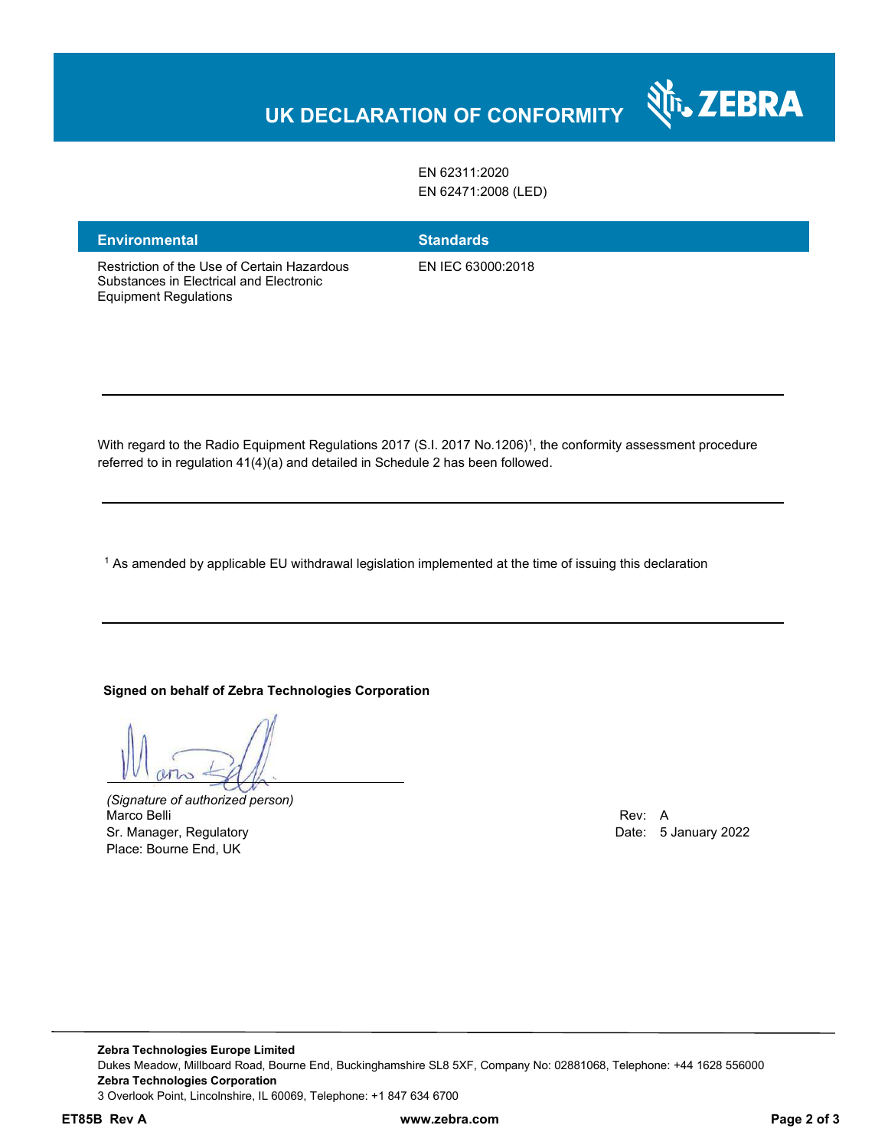# **UK DECLARATION OF CONFORMITY**

EN 62311:2020 EN 62471:2008 (LED)

**Environmental Standards** 

Equipment Regulations

Restriction of the Use of Certain Hazardous Substances in Electrical and Electronic

EN IEC 63000:2018

With regard to the Radio Equipment Regulations 2017 (S.I. 2017 No.1206)<sup>1</sup>, the conformity assessment procedure

referred to in regulation 41(4)(a) and detailed in Schedule 2 has been followed.

 $^{\rm 1}$  As amended by applicable EU withdrawal legislation implemented at the time of issuing this declaration

#### **Signed on behalf of Zebra Technologies Corporation**

*(Signature of authorized person)* Marco Belli Rev: A Sr. Manager, Regulatory **Date: 5 January 2022** Place: Bourne End, UK

र्शे<sub>ि</sub> ZEBRA